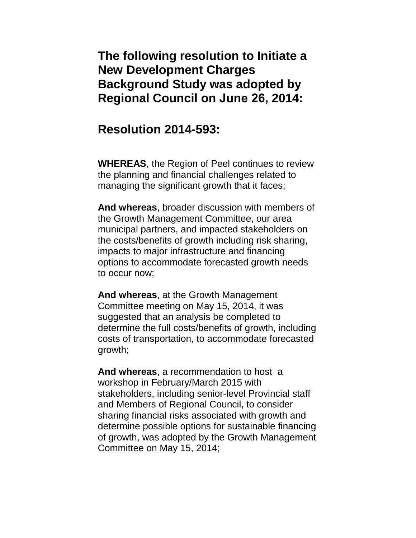**The following resolution to Initiate a New Development Charges Background Study was adopted by Regional Council on June 26, 2014:** 

## **Resolution 2014-593:**

**WHEREAS**, the Region of Peel continues to review the planning and financial challenges related to managing the significant growth that it faces;

**And whereas**, broader discussion with members of the Growth Management Committee, our area municipal partners, and impacted stakeholders on the costs/benefits of growth including risk sharing, impacts to major infrastructure and financing options to accommodate forecasted growth needs to occur now;

**And whereas**, at the Growth Management Committee meeting on May 15, 2014, it was suggested that an analysis be completed to determine the full costs/benefits of growth, including costs of transportation, to accommodate forecasted growth;

**And whereas**, a recommendation to host a workshop in February/March 2015 with stakeholders, including senior-level Provincial staff and Members of Regional Council, to consider sharing financial risks associated with growth and determine possible options for sustainable financing of growth, was adopted by the Growth Management Committee on May 15, 2014;